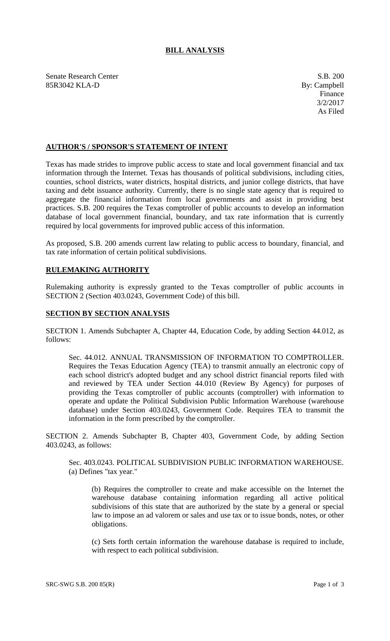# **BILL ANALYSIS**

Senate Research Center S.B. 200 85R3042 KLA-D By: Campbell

## **AUTHOR'S / SPONSOR'S STATEMENT OF INTENT**

Texas has made strides to improve public access to state and local government financial and tax information through the Internet. Texas has thousands of political subdivisions, including cities, counties, school districts, water districts, hospital districts, and junior college districts, that have taxing and debt issuance authority. Currently, there is no single state agency that is required to aggregate the financial information from local governments and assist in providing best practices. S.B. 200 requires the Texas comptroller of public accounts to develop an information database of local government financial, boundary, and tax rate information that is currently required by local governments for improved public access of this information.

As proposed, S.B. 200 amends current law relating to public access to boundary, financial, and tax rate information of certain political subdivisions.

### **RULEMAKING AUTHORITY**

Rulemaking authority is expressly granted to the Texas comptroller of public accounts in SECTION 2 (Section 403.0243, Government Code) of this bill.

### **SECTION BY SECTION ANALYSIS**

SECTION 1. Amends Subchapter A, Chapter 44, Education Code, by adding Section 44.012, as follows:

Sec. 44.012. ANNUAL TRANSMISSION OF INFORMATION TO COMPTROLLER. Requires the Texas Education Agency (TEA) to transmit annually an electronic copy of each school district's adopted budget and any school district financial reports filed with and reviewed by TEA under Section 44.010 (Review By Agency) for purposes of providing the Texas comptroller of public accounts (comptroller) with information to operate and update the Political Subdivision Public Information Warehouse (warehouse database) under Section 403.0243, Government Code. Requires TEA to transmit the information in the form prescribed by the comptroller.

SECTION 2. Amends Subchapter B, Chapter 403, Government Code, by adding Section 403.0243, as follows:

Sec. 403.0243. POLITICAL SUBDIVISION PUBLIC INFORMATION WAREHOUSE. (a) Defines "tax year."

(b) Requires the comptroller to create and make accessible on the Internet the warehouse database containing information regarding all active political subdivisions of this state that are authorized by the state by a general or special law to impose an ad valorem or sales and use tax or to issue bonds, notes, or other obligations.

(c) Sets forth certain information the warehouse database is required to include, with respect to each political subdivision.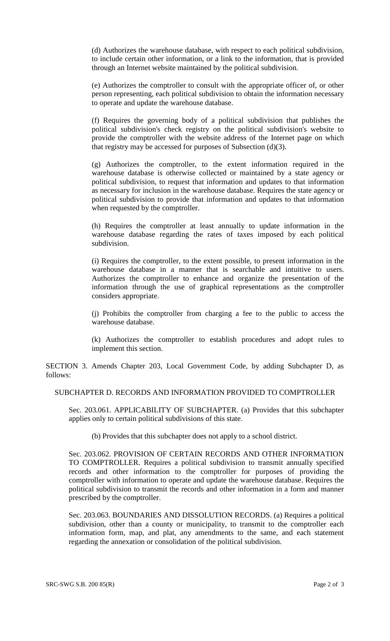(d) Authorizes the warehouse database, with respect to each political subdivision, to include certain other information, or a link to the information, that is provided through an Internet website maintained by the political subdivision.

(e) Authorizes the comptroller to consult with the appropriate officer of, or other person representing, each political subdivision to obtain the information necessary to operate and update the warehouse database.

(f) Requires the governing body of a political subdivision that publishes the political subdivision's check registry on the political subdivision's website to provide the comptroller with the website address of the Internet page on which that registry may be accessed for purposes of Subsection (d)(3).

(g) Authorizes the comptroller, to the extent information required in the warehouse database is otherwise collected or maintained by a state agency or political subdivision, to request that information and updates to that information as necessary for inclusion in the warehouse database. Requires the state agency or political subdivision to provide that information and updates to that information when requested by the comptroller.

(h) Requires the comptroller at least annually to update information in the warehouse database regarding the rates of taxes imposed by each political subdivision.

(i) Requires the comptroller, to the extent possible, to present information in the warehouse database in a manner that is searchable and intuitive to users. Authorizes the comptroller to enhance and organize the presentation of the information through the use of graphical representations as the comptroller considers appropriate.

(j) Prohibits the comptroller from charging a fee to the public to access the warehouse database.

(k) Authorizes the comptroller to establish procedures and adopt rules to implement this section.

SECTION 3. Amends Chapter 203, Local Government Code, by adding Subchapter D, as follows:

#### SUBCHAPTER D. RECORDS AND INFORMATION PROVIDED TO COMPTROLLER

Sec. 203.061. APPLICABILITY OF SUBCHAPTER. (a) Provides that this subchapter applies only to certain political subdivisions of this state.

(b) Provides that this subchapter does not apply to a school district.

Sec. 203.062. PROVISION OF CERTAIN RECORDS AND OTHER INFORMATION TO COMPTROLLER. Requires a political subdivision to transmit annually specified records and other information to the comptroller for purposes of providing the comptroller with information to operate and update the warehouse database. Requires the political subdivision to transmit the records and other information in a form and manner prescribed by the comptroller.

Sec. 203.063. BOUNDARIES AND DISSOLUTION RECORDS. (a) Requires a political subdivision, other than a county or municipality, to transmit to the comptroller each information form, map, and plat, any amendments to the same, and each statement regarding the annexation or consolidation of the political subdivision.